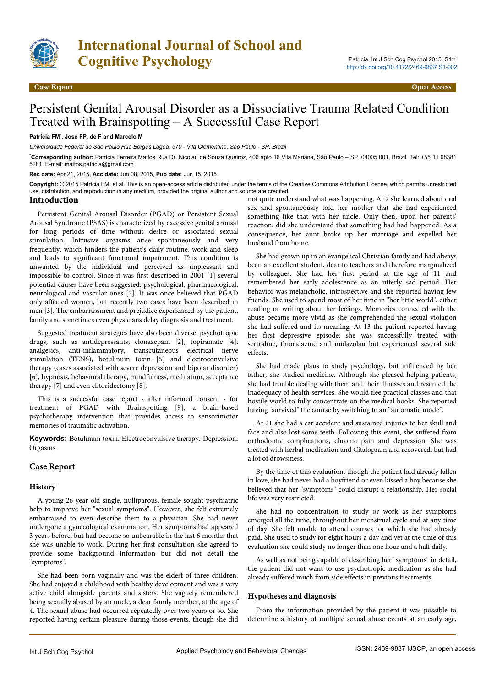

# Persistent Genital Arousal Disorder as a Dissociative Trauma Related Condition Treated with Brainspotting – A Successful Case Report

#### **Patrícia FM**\* **, José FP, de F and Marcelo M**

*Universidade Federal de São Paulo Rua Borges Lagoa, 570 - Vila Clementino, São Paulo - SP, Brazil*

\***Corresponding author:** Patrícia Ferreira Mattos Rua Dr. Nicolau de Souza Queiroz, 406 apto 16 Vila Mariana, São Paulo – SP, 04005 001, Brazil, Tel: +55 11 98381 5281; E-mail: mattos.patricia@gmail.com

**Rec date:** Apr 21, 2015, **Acc date:** Jun 08, 2015, **Pub date:** Jun 15, 2015

**Copyright:** © 2015 Patrícia FM, et al. This is an open-access article distributed under the terms of the Creative Commons Attribution License, which permits unrestricted use, distribution, and reproduction in any medium, provided the original author and source are credited.

## **Introduction**

Persistent Genital Arousal Disorder (PGAD) or Persistent Sexual Arousal Syndrome (PSAS) is characterized by excessive genital arousal for long periods of time without desire or associated sexual stimulation. Intrusive orgasms arise spontaneously and very frequently, which hinders the patient's daily routine, work and sleep and leads to significant functional impairment. This condition is unwanted by the individual and perceived as unpleasant and impossible to control. Since it was first described in 2001 [1] several potential causes have been suggested: psychological, pharmacological, neurological and vascular ones [2]. It was once believed that PGAD only affected women, but recently two cases have been described in men [3]. The embarrassment and prejudice experienced by the patient, family and sometimes even physicians delay diagnosis and treatment.

Suggested treatment strategies have also been diverse: psychotropic drugs, such as antidepressants, clonazepam [2], topiramate [4], analgesics, anti-inflammatory, transcutaneous electrical nerve stimulation (TENS), botulinum toxin [5] and electroconvulsive therapy (cases associated with severe depression and bipolar disorder) [6], hypnosis, behavioral therapy, mindfulness, meditation, acceptance therapy [7] and even clitoridectomy [8].

This is a successful case report - after informed consent - for treatment of PGAD with Brainspotting [9], a brain-based psychotherapy intervention that provides access to sensorimotor memories of traumatic activation.

**Keywords:** Botulinum toxin; Electroconvulsive therapy; Depression; Orgasms

## **Case Report**

## **History**

A young 26-year-old single, nulliparous, female sought psychiatric help to improve her "sexual symptoms". However, she felt extremely embarrassed to even describe them to a physician. She had never undergone a gynecological examination. Her symptoms had appeared 3 years before, but had become so unbearable in the last 6 months that she was unable to work. During her first consultation she agreed to provide some background information but did not detail the "symptoms".

She had been born vaginally and was the eldest of three children. She had enjoyed a childhood with healthy development and was a very active child alongside parents and sisters. She vaguely remembered being sexually abused by an uncle, a dear family member, at the age of 4. The sexual abuse had occurred repeatedly over two years or so. She reported having certain pleasure during those events, though she did

not quite understand what was happening. At 7 she learned about oral sex and spontaneously told her mother that she had experienced something like that with her uncle. Only then, upon her parents' reaction, did she understand that something bad had happened. As a consequence, her aunt broke up her marriage and expelled her husband from home.

She had grown up in an evangelical Christian family and had always been an excellent student, dear to teachers and therefore marginalized by colleagues. She had her first period at the age of 11 and remembered her early adolescence as an utterly sad period. Her behavior was melancholic, introspective and she reported having few friends. She used to spend most of her time in "her little world", either reading or writing about her feelings. Memories connected with the abuse became more vivid as she comprehended the sexual violation she had suffered and its meaning. At 13 the patient reported having her first depressive episode; she was successfully treated with sertraline, thioridazine and midazolan but experienced several side effects.

She had made plans to study psychology, but influenced by her father, she studied medicine. Although she pleased helping patients, she had trouble dealing with them and their illnesses and resented the inadequacy of health services. She would flee practical classes and that hostile world to fully concentrate on the medical books. She reported having "survived" the course by switching to an "automatic mode".

At 21 she had a car accident and sustained injuries to her skull and face and also lost some teeth. Following this event, she suffered from orthodontic complications, chronic pain and depression. She was treated with herbal medication and Citalopram and recovered, but had a lot of drowsiness.

By the time of this evaluation, though the patient had already fallen in love, she had never had a boyfriend or even kissed a boy because she believed that her "symptoms" could disrupt a relationship. Her social life was very restricted.

She had no concentration to study or work as her symptoms emerged all the time, throughout her menstrual cycle and at any time of day. She felt unable to attend courses for which she had already paid. She used to study for eight hours a day and yet at the time of this evaluation she could study no longer than one hour and a half daily.

As well as not being capable of describing her "symptoms" in detail, the patient did not want to use psychotropic medication as she had already suffered much from side effects in previous treatments.

### **Hypotheses and diagnosis**

From the information provided by the patient it was possible to determine a history of multiple sexual abuse events at an early age,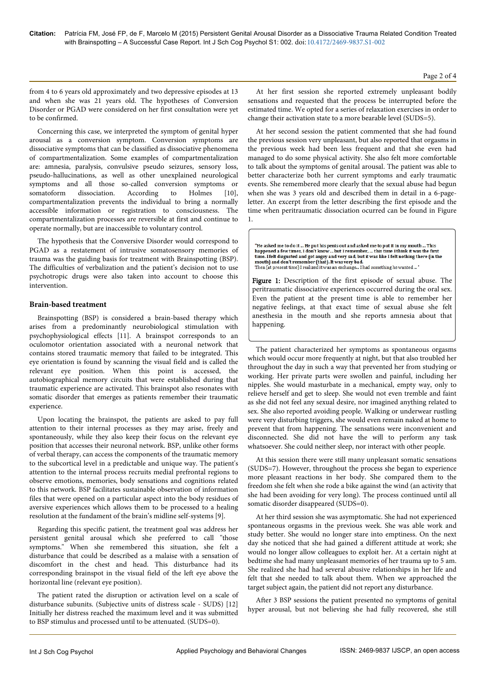from 4 to 6 years old approximately and two depressive episodes at 13 and when she was 21 years old. The hypotheses of Conversion Disorder or PGAD were considered on her first consultation were yet to be confirmed.

Concerning this case, we interpreted the symptom of genital hyper arousal as a conversion symptom. Conversion symptoms are dissociative symptoms that can be classified as dissociative phenomena of compartmentalization. Some examples of compartmentalization are: amnesia, paralysis, convulsive pseudo seizures, sensory loss, pseudo-hallucinations, as well as other unexplained neurological symptoms and all those so-called conversion symptoms or somatoform dissociation. According to Holmes [10], compartmentalization prevents the individual to bring a normally accessible information or registration to consciousness. The compartmentalization processes are reversible at first and continue to operate normally, but are inaccessible to voluntary control.

The hypothesis that the Conversive Disorder would correspond to PGAD as a restatement of intrusive somatosensory memories of trauma was the guiding basis for treatment with Brainspotting (BSP). The difficulties of verbalization and the patient's decision not to use psychotropic drugs were also taken into account to choose this intervention.

## **Brain-based treatment**

Brainspotting (BSP) is considered a brain-based therapy which arises from a predominantly neurobiological stimulation with psychophysiological effects [11]. A brainspot corresponds to an oculomotor orientation associated with a neuronal network that contains stored traumatic memory that failed to be integrated. This eye orientation is found by scanning the visual field and is called the relevant eye position. When this point is accessed, the autobiographical memory circuits that were established during that traumatic experience are activated. This brainspot also resonates with somatic disorder that emerges as patients remember their traumatic experience.

Upon locating the brainspot, the patients are asked to pay full attention to their internal processes as they may arise, freely and spontaneously, while they also keep their focus on the relevant eye position that accesses their neuronal network. BSP, unlike other forms of verbal therapy, can access the components of the traumatic memory to the subcortical level in a predictable and unique way. The patient's attention to the internal process recruits medial prefrontal regions to observe emotions, memories, body sensations and cognitions related to this network. BSP facilitates sustainable observation of information files that were opened on a particular aspect into the body residues of aversive experiences which allows them to be processed to a healing resolution at the fundament of the brain's midline self-systems [9].

Regarding this specific patient, the treatment goal was address her persistent genital arousal which she preferred to call "those symptoms." When she remembered this situation, she felt a disturbance that could be described as a malaise with a sensation of discomfort in the chest and head. This disturbance had its corresponding brainspot in the visual field of the left eye above the horizontal line (relevant eye position).

The patient rated the disruption or activation level on a scale of disturbance subunits. (Subjective units of distress scale - SUDS) [12] Initially her distress reached the maximum level and it was submitted to BSP stimulus and processed until to be attenuated. (SUDS=0).

At her first session she reported extremely unpleasant bodily sensations and requested that the process be interrupted before the estimated time. We opted for a series of relaxation exercises in order to change their activation state to a more bearable level (SUDS=5).

At her second session the patient commented that she had found the previous session very unpleasant, but also reported that orgasms in the previous week had been less frequent and that she even had managed to do some physical activity. She also felt more comfortable to talk about the symptoms of genital arousal. The patient was able to better characterize both her current symptoms and early traumatic events. She remembered more clearly that the sexual abuse had begun when she was 3 years old and described them in detail in a 6-pageletter. An excerpt from the letter describing the first episode and the time when peritraumatic dissociation ocurred can be found in Figure 1.

"He asked me to do it ... He put his penis out and asked me to put it in my mouth ... This happened a few times, I don't know ... but I remember, ... this time I think it was the first time. I felt disgusted and got angry Then (at present time) I realized it was an exchange... I had something he wanted ... "

Figure 1: Description of the first episode of sexual abuse. The peritraumatic dissociative experiences occurred during the oral sex. Even the patient at the present time is able to remember her negative feelings, at that exact time of sexual abuse she felt anesthesia in the mouth and she reports amnesia about that happening.

The patient characterized her symptoms as spontaneous orgasms which would occur more frequently at night, but that also troubled her throughout the day in such a way that prevented her from studying or working. Her private parts were swollen and painful, including her nipples. She would masturbate in a mechanical, empty way, only to relieve herself and get to sleep. She would not even tremble and faint as she did not feel any sexual desire, nor imagined anything related to sex. She also reported avoiding people. Walking or underwear rustling were very disturbing triggers, she would even remain naked at home to prevent that from happening. The sensations were inconvenient and disconnected. She did not have the will to perform any task whatsoever. She could neither sleep, nor interact with other people.

At this session there were still many unpleasant somatic sensations (SUDS=7). However, throughout the process she began to experience more pleasant reactions in her body. She compared them to the freedom she felt when she rode a bike against the wind (an activity that she had been avoiding for very long). The process continued until all somatic disorder disappeared (SUDS=0).

At her third session she was asymptomatic. She had not experienced spontaneous orgasms in the previous week. She was able work and study better. She would no longer stare into emptiness. On the next day she noticed that she had gained a different attitude at work; she would no longer allow colleagues to exploit her. At a certain night at bedtime she had many unpleasant memories of her trauma up to 5 am. She realized she had had several abusive relationships in her life and felt that she needed to talk about them. When we approached the target subject again, the patient did not report any disturbance.

After 3 BSP sessions the patient presented no symptoms of genital hyper arousal, but not believing she had fully recovered, she still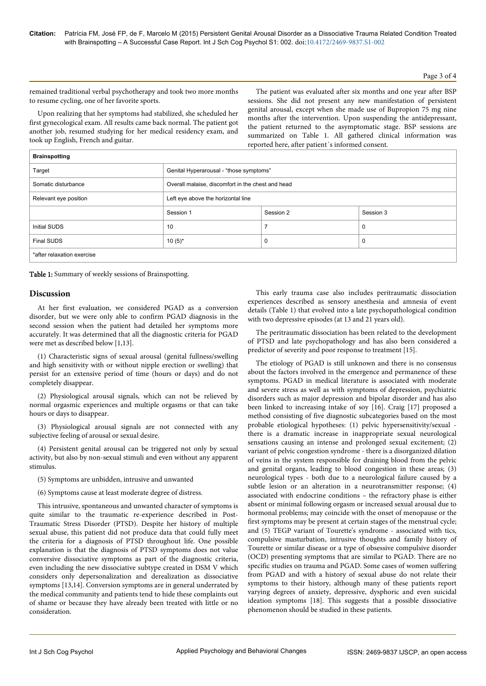### Page 3 of 4

remained traditional verbal psychotherapy and took two more months to resume cycling, one of her favorite sports.

Upon realizing that her symptoms had stabilized, she scheduled her first gynecological exam. All results came back normal. The patient got another job, resumed studying for her medical residency exam, and took up English, French and guitar.

The patient was evaluated after six months and one year after BSP sessions. She did not present any new manifestation of persistent genital arousal, except when she made use of Bupropion 75 mg nine months after the intervention. Upon suspending the antidepressant, the patient returned to the asymptomatic stage. BSP sessions are summarized on Table 1. All gathered clinical information was reported here, after patient´s informed consent.

| <b>Brainspotting</b>       |                                                   |           |             |
|----------------------------|---------------------------------------------------|-----------|-------------|
| Target                     | Genital Hyperarousal - "those symptoms"           |           |             |
| Somatic disturbance        | Overall malaise, discomfort in the chest and head |           |             |
| Relevant eye position      | Left eye above the horizontal line                |           |             |
|                            | Session 1                                         | Session 2 | Session 3   |
| <b>Initial SUDS</b>        | 10                                                |           | $\mathbf 0$ |
| Final SUDS                 | $10(5)^{*}$                                       | 0         | 0           |
| *after relaxation exercise |                                                   |           |             |

Table 1: Summary of weekly sessions of Brainspotting.

# **Discussion**

At her first evaluation, we considered PGAD as a conversion disorder, but we were only able to confirm PGAD diagnosis in the second session when the patient had detailed her symptoms more accurately. It was determined that all the diagnostic criteria for PGAD were met as described below [1,13].

(1) Characteristic signs of sexual arousal (genital fullness/swelling and high sensitivity with or without nipple erection or swelling) that persist for an extensive period of time (hours or days) and do not completely disappear.

(2) Physiological arousal signals, which can not be relieved by normal orgasmic experiences and multiple orgasms or that can take hours or days to disappear.

(3) Physiological arousal signals are not connected with any subjective feeling of arousal or sexual desire.

(4) Persistent genital arousal can be triggered not only by sexual activity, but also by non-sexual stimuli and even without any apparent stimulus.

(5) Symptoms are unbidden, intrusive and unwanted

(6) Symptoms cause at least moderate degree of distress.

This intrusive, spontaneous and unwanted character of symptoms is quite similar to the traumatic re-experience described in Post-Traumatic Stress Disorder (PTSD). Despite her history of multiple sexual abuse, this patient did not produce data that could fully meet the criteria for a diagnosis of PTSD throughout life. One possible explanation is that the diagnosis of PTSD symptoms does not value conversive dissociative symptoms as part of the diagnostic criteria, even including the new dissociative subtype created in DSM V which considers only depersonalization and derealization as dissociative symptoms [13,14]. Conversion symptoms are in general underrated by the medical community and patients tend to hide these complaints out of shame or because they have already been treated with little or no consideration.

This early trauma case also includes peritraumatic dissociation experiences described as sensory anesthesia and amnesia of event details (Table 1) that evolved into a late psychopathological condition with two depressive episodes (at 13 and 21 years old).

The peritraumatic dissociation has been related to the development of PTSD and late psychopathology and has also been considered a predictor of severity and poor response to treatment [15].

The etiology of PGAD is still unknown and there is no consensus about the factors involved in the emergence and permanence of these symptoms. PGAD in medical literature is associated with moderate and severe stress as well as with symptoms of depression, psychiatric disorders such as major depression and bipolar disorder and has also been linked to increasing intake of soy [16]. Craig [17] proposed a method consisting of five diagnostic subcategories based on the most probable etiological hypotheses: (1) pelvic hypersensitivity/sexual there is a dramatic increase in inappropriate sexual neurological sensations causing an intense and prolonged sexual excitement; (2) variant of pelvic congestion syndrome - there is a disorganized dilation of veins in the system responsible for draining blood from the pelvic and genital organs, leading to blood congestion in these areas; (3) neurological types - both due to a neurological failure caused by a subtle lesion or an alteration in a neurotransmitter response; (4) associated with endocrine conditions – the refractory phase is either absent or minimal following orgasm or increased sexual arousal due to hormonal problems; may coincide with the onset of menopause or the first symptoms may be present at certain stages of the menstrual cycle; and (5) TEGP variant of Tourette's syndrome - associated with tics, compulsive masturbation, intrusive thoughts and family history of Tourette or similar disease or a type of obsessive compulsive disorder (OCD) presenting symptoms that are similar to PGAD. There are no specific studies on trauma and PGAD. Some cases of women suffering from PGAD and with a history of sexual abuse do not relate their symptoms to their history, although many of these patients report varying degrees of anxiety, depressive, dysphoric and even suicidal ideation symptoms [18]. This suggests that a possible dissociative phenomenon should be studied in these patients.